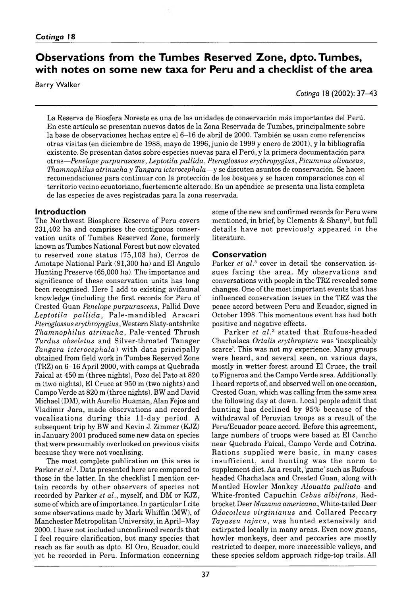# **Observations from the Tumbes Reserved Zone, dpto. Tumbes,** with notes on some new taxa for Peru and a checklist of the area

Barry Walker

*Cotinga* 18( 2002): 37–4 3

La Reserva de Biosfera Noreste es una de las unidades de conservación más importantes del Perú. En este artículo se presentan nuevos datos de la Zona Reservada de Tumbes, principalmente sobre la base de observaciones hechas entre el 6–16 de abril de 2000. También se usan como referencias otras visitas (en diciembre de 1988, mayo de 1996, junio de 1999 y enero de 2001), y la bibliografía existente. Se presentan datos sobre especies nuevas para el Perú, y la primera documentación para otras — *Penelope purpurascens*, *Leptotila pallida*, *Pteroglossus erythropygius*, *Picumnus olivaceus*, *Thamnophilus atrinucha* y *Tangara icterocephala* — y se discuten asuntos de conservación. Se hacen recomendaciones para continuar con la protección de los bosques y se hacen comparaciones con el territorio vecino ecuatoriano, fuertemente alterado. En un apéndice se presenta una lista completa de las especies de aves registradas para la zona reservada.

# **Introduction**

The Northwest Biosphere Reserve of Peru covers 231 402 ha and comprises the contiguous conservation units of Tumbes Reserved Zone, formerly known as Tumbes National Forest but now elevated to reserved zone status  $(75, 103$  ha), Cerros de Amotape National Park (91,300 ha) and El Angulo Hunting Preserve (65 000 ha). The importance and significance of these conservation units has long been recognised. Here I add to existing avifaunal knowledge (including the first records for Peru of Crested Guan *Penelope purpurascens*, Pallid Dove Leptotila pallida, Pale-mandibled Aracari *Pteroglossus erythropygius*, Western Slaty-antshrike *Thamnophilus atrinucha*, Pale-vented Thrush *Turdus obsoletus* and Silver-throated Tanager *Tangara icterocephala*) with data principally obtained from field work in Tumbes Reserved Zone (TRZ) on 6–16 April 2000, with camps at Quebrada Faical at 450 m (three nights), Pozo del Pato at 820 m (two nights), El Cruce at 950 m (two nights) and Campo Verde at 820 m (three nights). BW and David Michael (DM), with Aurelio Huaman, Alan Fejos and Vladimir Jara, made observations and recorded vocalisations during this 11-day period. A subsequent trip by BW and Kevin J. Zimmer (KJZ) in January 2001 produced some new data on species that were presumably overlooked on previous visits because they were not vocalising.

The most complete publication on this area is Parker *et al.*<sup>3</sup>. Data presented here are compared to those in the latter. In the checklist I mention certain records by other observers of species not recorded by Parker *et al.*, myself, and DM or KJZ, some of which are of importance. In particular I cite some observations made by Mark Whiffin (MW), of Manchester Metropolitan University, in April–May 2000. I have not included unconfirmed records that I feel require clarification, but many species that reach as far south as dpto. El Oro, Ecuador, could yet be recorded in Peru. Information concerning some of the new and confirmed records for Peru were mentioned, in brief, by Clements & Shany2, but full details have not previously appeared in the literature.

# **Conservation**

Parker *et al.*<sup>3</sup> cover in detail the conservation issues facing the area. My observations and conversations with people in the TRZ revealed some changes. One of the most im portant events that has influenced conservation issues in the TRZ was the peace accord between Peru and Ecuador, signed in October 1998. This momentous event has had both positive and negative effects.

Parker et al.<sup>3</sup> stated that Rufous-headed Chachalaca *Ortalis erythroptera* was 'inexplicably scarce'. This was not my experience. Many groups were heard, and several seen, on various days, mostly in wetter forest around El Cruce, the trail to Figueroa and the Campo Verde area. Additionally I heard reports of, and observed well on one occasion, Crested Guan, which was calling from the same area the following day at dawn. Local people admit that hunting has declined by 95% because of the withdrawal of Peruvian troops as a result of the Peru/Ecuador peace accord. Before this agreement, large numbers of troops were based at El Caucho near Quebrada Faical, Campo Verde and Cotrina. Rations supplied were basic, in many cases insufficient, and hunting was the norm to supplement diet. As a result, 'game' such as Rufousheaded Chachalaca and Crested Guan, along with M antled Howler Monkey *Alouatta palliata* and W hite-fronted Capuchin *Cebus albifrons*, Redbrocket Deer *Mazama americana*, White-tailed Deer *Odocoileus virginianus* and Collared Peccary Tayassu tajacu, was hunted extensively and extirpated locally in many areas. Even now guans, howler monkeys, deer and peccaries are mostly restricted to deeper, more inaccessible valleys, and these species seldom approach ridge-top trails. All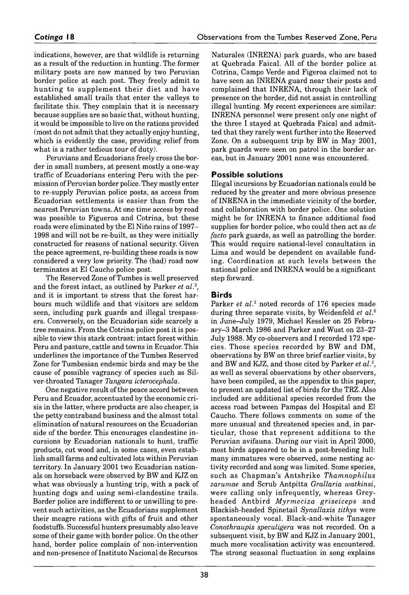indications, however, are that wildlife is returning as a result of the reduction in hunting. The former military posts are now manned by two Peruvian border police at each post. They freely admit to hunting to supplement their diet and have established small trails that enter the valleys to facilitate this. They complain that it is necessary because supplies are so basic that, without hunting, it would be impossible to live on the rations provided (most do not admit that they actually enjoy hunting, which is evidently the case, providing relief from what is a rather tedious tour of duty).

Peruvians and Ecuadorians freely cross the border in small numbers, at present mostly a one-way traffic of Ecuadorians entering Peru with the permission of Peruvian border police. They mostly enter to re-supply Peruvian police posts, as access from Ecuadorian settlements is easier than from the nearest Peruvian towns. At one time access by road was possible to Figueroa and Cotrina, but these roads were eliminated by the El Niño rains of 1997- 1998 and will not be re-built, as they were initially constructed for reasons of national security. Given the peace agreement, re-building these roads is now considered a very low priority. The (bad) road now term inates at El Caucho police post.

The Reserved Zone of Tumbes is well preserved and the forest intact, as outlined by Parker *et al.*3, and it is important to stress that the forest harbours much wildlife and that visitors are seldom seen, including park guards and illegal trespassers. Conversely, on the Ecuadorian side scarcely a tree remains. From the Cotrina police post it is possible to view this stark contrast: intact forest within Peru and pasture, cattle and towns in Ecuador. This underlines the importance of the Tumbes Reserved Zone for Tumbesian endemic birds and may be the cause of possible vagrancy of species such as Silver-throated Tanager *Tangara icterocephala.*

One negative result of the peace accord between Peru and Ecuador, accentuated by the economic crisis in the latter, where products are also cheaper, is the petty contraband business and the almost total elimination of natural resources on the Ecuadorian side of the border. This encourages clandestine incursions by Ecuadorian nationals to hunt, traffic products, cut wood and, in some cases, even establish small farms and cultivated lots within Peruvian territory. In January 2001 two Ecuadorian nationals on horseback were observed by BW and KJZ on what was obviously a hunting trip, with a pack of hunting dogs and using semi-clandestine trails. Border police are indifferent to or unwilling to prevent such activities, as the Ecuadorians supplement their meagre rations with gifts of fruit and other foodstuffs. Successful hunters presumably also leave some of their game with border police. On the other hand, border police complain of non-intervention and non-presence of Instituto Nacional de Recursos

Naturales (INRENA) park guards, who are based at Quebrada Faical. All of the border police at Cotrina, Campo Verde and Figeroa claimed not to have seen an INRENA guard near their posts and complained that INRENA, through their lack of presence on the border, did not assist in controlling illegal hunting. My recent experiences are similar: INRENA personnel were present only one night of the three I stayed at Quebrada Faical and admitted that they rarely went further into the Reserved Zone. On a subsequent trip by BW in May 2001, park guards were seen on patrol in the border areas, but in January 2001 none was encountered.

# **Possible solutions**

Illegal incursions by Ecuadorian nationals could be reduced by the greater and more obvious presence of INRENA in the immediate vicinity of the border, and collaboration with border police. One solution might be for INRENA to finance additional food supplies for border police, who could then act as *de facto* park guards, as well as patrolling the border. This would require national-level consultation in Lima and would be dependent on available funding. Coordination at such levels between the national police and INRENA would be a significant step forward.

# **B i r d s**

Parker *et al.*<sup>3</sup> noted records of 176 species made during three separate visits, by Weidenfeld *et al.*6 in June–July 1979, Michael Kessler on 25 February–3 March 1986 and Parker and Wust on 23–27 July 1988. My co-observers and I recorded 172 species. Those species recorded by BW and DM, observations by BW on three brief earlier visits, by and BW and KJZ, and those cited by Parker *et al.*3, as well as several observations by other observers, have been compiled, as the appendix to this paper, to present an updated list of birds for the TRZ. Also included are additional species recorded from the access road between Pampas del Hospital and El Caucho. There follows comments on some of the more unusual and threatened species and, in particular, those that represent additions to the Peruvian avifauna. During our visit in April 2000, most birds appeared to be in a post-breeding lull: many immatures were observed, some nesting activity recorded and song was limited. Some species, such as C hapm an's A ntshrike *T ham nophilus zarumae* and Scrub A ntpitta *Grallaria watkinsi,* were calling only infrequently, whereas Greyheaded Antbird Myrmeciza griseiceps and Blackish-headed Spinetail *Synallaxis tithys* were spontaneously vocal. Black-and-white Tanager *Conothraupis speculigera* was not recorded. On a subsequent visit, by BW and KJZ in January 2001, much more vocalisation activity was encountered. The strong seasonal fluctuation in song explains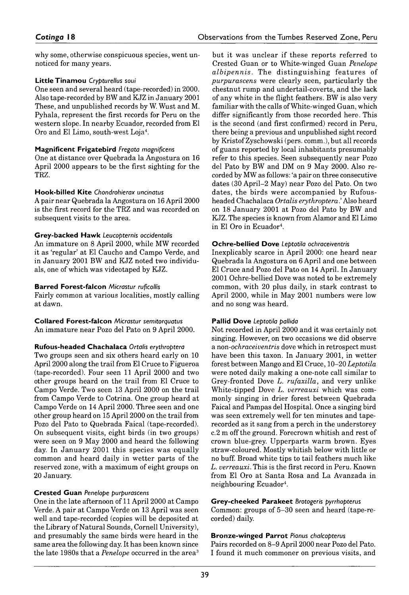why some, otherwise conspicuous species, went unnoticed for many years.

#### **Little Tinamou** Crypturellus soui

One seen and several heard (tape-recorded) in 2000. Also tape-recorded by BW and KJZ in January 2001 These, and unpublished records by W. Wust and M. Pyhala, represent the first records for Peru on the western slope. In nearby Ecuador, recorded from El Oro and El Limo, south-west Loja4.

### **M agnificent Frigatebird** *Fregata magnifícens*

One at distance over Quebrada la Angostura on 16 April 2000 appears to be the first sighting for the TRZ.

### **H ook-billed K ite** *Chondrohierax uncinatus*

A pair near Quebrada la Angostura on 16 April 2000 is the first record for the TRZ and was recorded on subsequent visits to the area.

### **Grey-backed Hawk** Leucopternis occidentalis

An immature on 8 April 2000, while MW recorded it as 'regular' at El Caucho and Campo Verde, and in January 2001 BW and KJZ noted two individuals, one of which was videotaped by KJZ.

#### **B arred Forest-Falcon** *Micrastur ruficollis*

Fairly common at various localities, mostly calling at dawn.

### **Collared Forest-Falcon** *Micrastur semitorquatus* An immature near Pozo del Pato on 9 April 2000.

#### **Rufous-headed Chachalaca** *Ortalis erythroptera*

Two groups seen and six others heard early on 10 April 2000 along the trail from El Cruce to Figueroa (tape-recorded). Four seen 11 April 2000 and two other groups heard on the trail from El Cruce to Campo Verde. Two seen 13 April 2000 on the trail from Campo Verde to Cotrina. One group heard at Campo Verde on 14 April 2000. Three seen and one other group heard on 15 April 2000 on the trail from Pozo del Pato to Quebrada Faical (tape-recorded). On subsequent visits, eight birds (in two groups) were seen on 9 May 2000 and heard the following day. In January 2001 this species was equally common and heard daily in wetter parts of the reserved zone, with a maximum of eight groups on 20 January.

#### **Crested Guan** *Penelope purpurascens*

One in the late afternoon of 11 April 2000 at Campo Verde. A pair at Campo Verde on 13 April was seen well and tape-recorded (copies will be deposited at the Library of Natural Sounds, Cornell University), and presumably the same birds were heard in the same area the following day. It has been known since the late 1980s that a *Penelope* occurred in the area3

but it was unclear if these reports referred to Crested Guan or to White-winged Guan *Penelope albipennis*. The distinguishing features of *purpurascens* were clearly seen, particularly the chestnut rump and undertail-coverts, and the lack of any white in the flight feathers. BW is also very familiar with the calls of White-winged Guan, which differ significantly from those recorded here. This is the second (and first confirmed) record in Peru, there being a previous and unpublished sight record by Kristof Zyschowski (pers. comm.), but all records of guans reported by local inhabitants presumably refer to this species. Seen subsequently near Pozo del Pato by BW and DM on 9 May 2000. Also recorded by MW as follows: 'a pair on three consecutive dates (30 April–2 May) near Pozo del Pato. On two dates, the birds were accompanied by Rufousheaded Chachalaca *Ortalis erythroptera*.' Also heard on 18 January 2001 at Pozo del Pato by BW and KJZ. The species is known from Alamor and El Limo in El Oro in Ecuador4.

### **O ch re-b ellied Dove** *Leptotila ochraceiventris*

Inexplicably scarce in April 2000: one heard near Quebrada la Angostura on 6 April and one between El Cruce and Pozo del Pato on 14 April. In January 2001 Ochre-bellied Dove was noted to be extremely common, with 20 plus daily, in stark contrast to April 2000, while in May 2001 numbers were low and no song was heard.

#### **Pallid Dove** Leptotila pallida

Not recorded in April 2000 and it was certainly not singing. However, on two occasions we did observe a non*-ochraceiventris* dove which in retrospect must have been this taxon. In January 2001, in wetter forest between Mango and El Cruce, 10–20 *Leptotila* were noted daily making a one-note call similar to Grey-fronted Dove *L. rufaxilla,* and very unlike White-tipped Dove *L. verreauxi* which was commonly singing in drier forest between Quebrada Faical and Pampas del Hospital. Once a singing bird was seen extremely well for ten minutes and taperecorded as it sang from a perch in the understorey *c.* 2 m off the ground. Forecrown whitish and rest of crown blue-grey. Upperparts warm brown. Eyes straw-coloured. Mostly whitish below with little or no buff. Broad white tips to tail feathers much like *L. verreauxi.* This is the first record in Peru. Known from El Oro at Santa Rosa and La Avanzada in neighbouring Ecuador4.

## **G rey-cheeked P arakeet** *Brotogeris pyrrhopterus*

Common: groups of 5–30 seen and heard (tape-recorded) daily.

# **Bronze-winged Parrot** Pionus chalcopterus

Pairs recorded on 8–9 April 2000 near Pozo del Pato. I found it much commoner on previous visits, and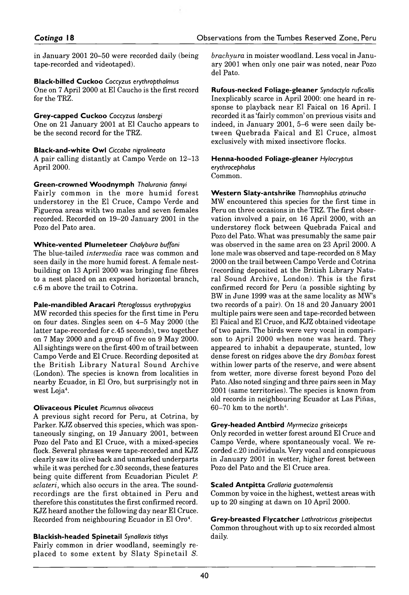in January 2001 20–50 were recorded daily (being tape-recorded and videotaped).

#### **Black-billed Cuckoo** *Coccyzus erythropthalmus*

One on 7 April 2000 at El Caucho is the first record for the TRZ.

**G rey-capped Cuckoo** *Coccyzus lansbergi* One on 21 January 2001 at El Caucho appears to be the second record for the TRZ.

#### **Black-and-white Owl** *Ciccaba nigrolineata*

A pair calling distantly at Campo Verde on 12–13 April 2000.

**Green-crowned Woodnymph Thalurania fannyi** 

Fairly common in the more humid forest understorey in the El Cruce, Campo Verde and Figueroa areas with two males and seven females recorded. Recorded on 19–20 January 2001 in the Pozo del Pato area.

#### **W h ite -v e n te d P lu m elete er** *Chalybura buffoni*

The blue-tailed *intermedia* race was common and seen daily in the more humid forest. A female nestbuilding on 13 April 2000 was bringing fine fibres to a nest placed on an exposed horizontal branch, c.6 m above the trail to Cotrina.

#### **Pale-m andibled A racari** *Pteroglossus erythropygius*

MW recorded this species for the first time in Peru on four dates. Singles seen on 4–5 May 2000 (the latter tape-recorded for *c.* 45 seconds), two together on 7 May 2000 and a group of five on 9 May 2000. All sightings were on the first 400 m of trail between Campo Verde and El Cruce. Recording deposited at the British Library Natural Sound Archive (London). The species is known from localities in nearby Ecuador, in El Oro, but surprisingly not in west Loja<sup>4</sup>.

#### **Olivaceous P iculet** *Picumnus olivaceus*

A previous sight record for Peru, at Cotrina, by Parker. KJZ observed this species, which was spontaneously singing, on 19 January 2001, between Pozo del Pato and El Cruce, with a mixed-species flock. Several phrases were tape-recorded and KJZ clearly saw its olive back and unmarked underparts while it was perched for c.30 seconds, these features being quite different from Ecuadorian Piculet *P. sclateri,* which also occurs in the area. The soundrecordings are the first obtained in Peru and therefore this constitutes the first confirmed record. KJZ heard another the following day near El Cruce. Recorded from neighbouring Ecuador in El Oro4.

**Blackish-headed Spinetail** *Synallaxis tithys* Fairly common in drier woodland, seemingly replaced to some extent by Slaty Spinetail S. *brachyura* in moister woodland. Less vocal in January 2001 when only one pair was noted, near Pozo del Pato.

**Rufous-necked Foliage-gleaner** *Syndactyla ruficollis* Inexplicably scarce in April 2000: one heard in response to playback near El Faical on 16 April. I recorded it as 'fairly common' on previous visits and indeed, in January 2001, 5–6 were seen daily between Quebrada Faical and El Cruce, almost exclusively with mixed insectivore flocks.

#### **H enna-hooded Foliage-gleaner** *Hylocryptus erythrocephalus*

Common.

**W e s te rn S laty-Antshrike** *Thamnophilus atrinucha* MW encountered this species for the first time in Peru on three occasions in the TRZ. The first observation involved a pair, on 16 April 2000, with an understorey flock between Quebrada Faical and Pozo del Pato. What was presumably the same pair was observed in the same area on 23 April 2000. A lone male was observed and tape-recorded on 8 May 2000 on the trail between Campo Verde and Cotrina (recording deposited at the British Library Natural Sound Archive, London). This is the first confirmed record for Peru (a possible sighting by BW in June 1999 was at the same locality as MW's two records of a pair). On 18 and 20 January 2001 multiple pairs were seen and tape-recorded between El Faical and El Cruce, and KJZ obtained videotape of two pairs. The birds were very vocal in comparison to April 2000 when none was heard. They appeared to inhabit a depauperate, stunted, low dense forest on ridges above the dry *Bombax* forest within lower parts of the reserve, and were absent from wetter, more diverse forest beyond Pozo del Pato. Also noted singing and three pairs seen in May 2001 (same territories). The species is known from old records in neighbouring Ecuador at Las Pihas,  $60-70$  km to the north<sup>4</sup>.

#### **G rey-headed A n tb ird** *Myrmeciza griseiceps*

Only recorded in wetter forest around El Cruce and Campo Verde, where spontaneously vocal. We recorded *c.* 20 individuals. Very vocal and conspicuous in January 2001 in wetter, higher forest between Pozo del Pato and the El Cruce area.

#### **Scaled A n tp itta** *Grallaria guatemalensis*

Common by voice in the highest, wettest areas with up to 20 singing at dawn on 10 April 2000.

**G rey-breasted Flycatcher** *Lathrotriccus griseipectus* Common throughout with up to six recorded almost daily.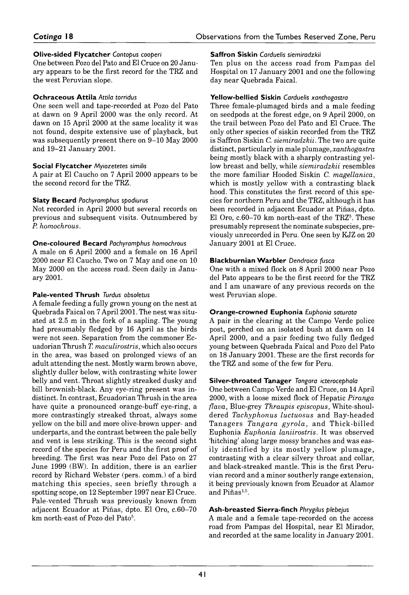### **Olive-sided Flycatcher** *Contopus cooperi*

One between Pozo del Pato and El Cruce on 20 January appears to be the first record for the TRZ and the west Peruvian slope.

### **O chraceous A ttila** *Attila torridus*

One seen well and tape-recorded at Pozo del Pato at dawn on 9 April 2000 was the only record. At dawn on 15 April 2000 at the same locality it was not found, despite extensive use of playback, but was subsequently present there on 9–10 May 2000 and 19-21 January 2001.

### **Social Flycatcher** *Myiozetetes similis*

A pair at El Caucho on 7 April 2000 appears to be the second record for the TRZ.

### **Slaty Becard** *Pachyramphus spodiurus*

Not recorded in April 2000 but several records on previous and subsequent visits. Outnumbered by *P. homochrous.*

### **O ne-coloured Becard** *Pachyramphus homochrous*

A male on 6 April 2000 and a female on 16 April 2000 near El Caucho. Two on 7 May and one on 10 May 2000 on the access road. Seen daily in January 2001.

#### **Pale-vented Thrush** *Turdus obsoletus*

*A* female feeding a fully grown young on the nest at Quebrada Faical on 7 April 2001. The nest was situated at 2.5 m in the fork of a sapling. The young had presumably fledged by 16 April as the birds were not seen. Separation from the commoner Ecuadorian Thrush *T. maculirostris*, which also occurs in the area, was based on prolonged views of an adult attending the nest. Mostly warm brown above, slightly duller below, with contrasting white lower belly and vent. Throat slightly streaked dusky and bill brownish-black. Any eye-ring present was indistinct. In contrast, Ecuadorian Thrush in the area have quite a pronounced orange-buff eye-ring, a more contrastingly streaked throat, always some yellow on the bill and more olive-brown upper- and underparts, and the contrast between the pale belly and vent is less striking. This is the second sight record of the species for Peru and the first proof of breeding. The first was near Pozo del Pato on 27 June 1999 (BW). In addition, there is an earlier record by Richard Webster (pers. comm.) of a bird m atching this species, seen briefly through a spotting scope, on 12 September 1997 near El Cruce. Pale-vented Thrush was previously known from adjacent Ecuador at Pihas, dpto. El Oro, *c.* 60–70 km north-east of Pozo del Pato<sup>5</sup>.

#### **Saffron Siskin** *Carduelis siemiradzkii*

Ten plus on the access road from Pampas del Hospital on 17 January 2001 and one the following day near Quebrada Faical.

#### **Yellow -bellied Siskin** *Carduelis xanthogastra*

Three female-plumaged birds and a male feeding on seed pods at the forest edge, on 9 April 2000, on the trail between Pozo del Pato and El Cruce. The only other species of siskin recorded from the TRZ is Saffron Siskin C. *siemiradzkii.* The two are quite distinct, particularly in male *plumage, xanthogastra* being mostly black with a sharply contrasting yellow breast and belly, while *siemiradzkii* resembles the more familiar Hooded Siskin *C. magellanica,* which is mostly yellow with a contrasting black hood. This constitutes the first record of this species for northern Peru and the TRZ, although it has been recorded in adjacent Ecuador at Pihas, dpto. El Oro, c.60–70 km north-east of the TRZ<sup>5</sup>. These presumably represent the nominate subspecies, previously unrecorded in Peru. One seen by KJZ on 20 January 2001 at El Cruce.

### **Blackburnian Warbler** Dendroica fusca

One with a mixed flock on 8 April 2000 near Pozo del Pato appears to be the first record for the TRZ and I am unaware of any previous records on the west Peruvian slope.

# **O range-crow ned Euphonia** *Euphonia saturata*

*A* pair in the clearing at the Campo Verde police post, perched on an isolated bush at dawn on 14 April 2000, and a pair feeding two fully fledged young between Quebrada Faical and Pozo del Pato on 18 January 2001. These are the first records for the TRZ and some of the few for Peru.

#### **S ilver-throated Tanager** *Tangara icterocephala*

One between Campo Verde and El Cruce, on 14 April 2000, with a loose mixed flock of Hepatic *Piranga flava*, Blue-grey *Thraupis episcopus*, White-shouldered *Tachyphonus luctuosus* and Bay-headed Tanagers *Tangara gyrola*, and Thick-billed Euphonia *Euphonia laniirostris.* It was observed 'hitching' along large mossy branches and was easily identified by its mostly yellow plumage, contrasting with a clear silvery throat and collar, and black-streaked mantle. This is the first Peruvian record and a minor southerly range extension, it being previously known from Ecuador at Alamor and Piñas<sup>1,5</sup>.

## **A sh-breasted S ierra-Finch** *Phrygilus plebejus*

A male and a female tape-recorded on the access road from Pampas del Hospital, near El Mirador, and recorded at the same locality in January 2001.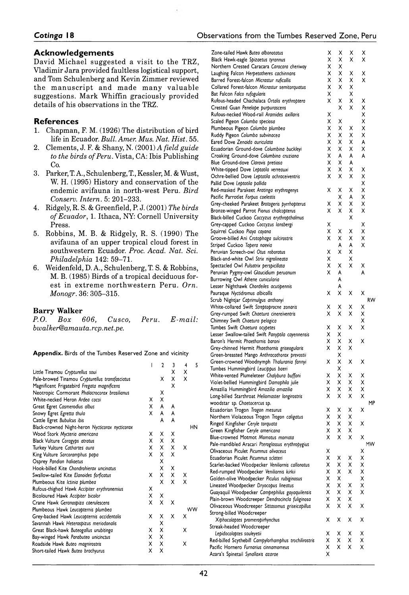#### **Acknowledgements**

David Michael suggested a visit to the TRZ, Vladimir Jara provided faultless logistical support, and Tom Schulenberg and Kevin Zimmer reviewed the manuscript and made many valuable suggestions. Mark Whiffin graciously provided details of his observations in the TRZ.

#### **References**

- 1. Chapman, F. M. (1926) The distribution of bird life in Ecuador. *Bull. Amer. Mus. Nat. Hist.* 55.
- 2. Clements, J. F. & Shany, N. (2001) *A field guide to the birds of Peru.* Vista, CA: Ibis Publishing Co.
- 3. Parker, T. A., Schulenberg, T., Kessler, M. & Wust, W. H. (1995) History and conservation of the endemic avifauna in north-west Peru. *Bird Conserv. Intern.* 5: 201-233.
- 4. Ridgely, R. S. & Greenfield, P. J. (2001) *The birds of Ecuador,* 1. Ithaca, NY: Cornell University Press.
- 5. Robbins, M. B. & Ridgely, R. S. ( 1990) The avifauna of an upper tropical cloud forest in southwestern Ecuador. Proc. Acad. Nat. Sci. *Philadelphia* 142: 59–71.
- 6. Weidenfeld, D. A., Schulenberg, T. S. & Robbins, M. B. (1985) Birds of a tropical deciduous forest in extreme northwestern Peru. Orn. *Monogr.* 36: 305–315.

#### **Barry Walker**

|                            |  |  | P.O. Box 606, Cusco, Peru. E-mail: |
|----------------------------|--|--|------------------------------------|
| bwalker@amauta.rcp.net.pe. |  |  |                                    |

Appendix. Birds of the Tumbes Reserved Zone and vicinity

|                                                 | I | $\mathbf{c}$                 | 3 | 4 | 5  |
|-------------------------------------------------|---|------------------------------|---|---|----|
| Little Tinamou Crypturellus soui                |   |                              | X | X |    |
| Pale-browed Tinamou Crypturellus transfasciatus |   | x                            | Χ | X |    |
| Magnificent Frigatebird Fregata magnificens     |   |                              | X |   |    |
| Neotropic Cormorant Phalacrocorax brasilianus   |   | Χ                            |   |   |    |
| White-necked Heron Ardea cocoi                  | х | X                            |   |   |    |
| Great Egret Casmerodius albus                   | X | A                            | A |   |    |
| Snowy Egret Egretta thula                       | x | A                            | A |   |    |
| Cattle Egret Bubulcus ibis                      |   | A                            | A |   |    |
| Black-crowned Night-heron Nycticorax nycticorax |   |                              |   |   | HN |
| Wood Stork Mycteria americana                   | Χ | x                            | Χ |   |    |
| Black Vulture Coragyps atratus                  | Χ | X.                           | X |   |    |
| Turkey Vulture Cathartes aura                   | X | X.                           | Χ | x |    |
| King Vulture Sarcoramphus papa                  | X | $_{\mathsf{x}}^{\mathsf{x}}$ | X |   |    |
| Osprey Pandion haliaetus                        |   |                              |   |   |    |
| Hook-billed Kite Chondrohierax uncinatus        |   | X                            | Χ |   |    |
| Swallow-tailed Kite Elanoides forficatus        | x | X.                           | X | Χ |    |
| Plumbeous Kite Ictinia plumbea                  |   | x                            | X | X |    |
| Rufous-thighed Hawk Accipiter erythronemius     | х |                              |   |   |    |
| Bicoloured Hawk Accipiter bicolor               | Χ | Χ                            |   |   |    |
| Crane Hawk Geranospiza caerulescens             | X | X                            | x |   |    |
| Plumbeous Hawk Leucopternis plumbea             |   |                              |   |   | WW |
| Grey-backed Hawk Leucopternis occidentalis      | Χ | Χ                            | X | X |    |
| Savannah Hawk Heterospizus meriodonalis         |   | Χ                            |   |   |    |
| Great Black-hawk Buteogallus urubitinga         | x | X                            |   | X |    |
| Bay-winged Hawk Parabuteo unicinctus            | Χ | X                            |   |   |    |
| Roadside Hawk Buteo magnirostris                | Χ | х                            |   | X |    |
| Short-tailed Hawk Buteo brachyurus              | X | Χ                            |   |   |    |
|                                                 |   |                              |   |   |    |

|    |                                                                                                                                                                   | Χ                                                                                                                                                                                     |                                                                                                                                               |                                                                                                                                                              |
|----|-------------------------------------------------------------------------------------------------------------------------------------------------------------------|---------------------------------------------------------------------------------------------------------------------------------------------------------------------------------------|-----------------------------------------------------------------------------------------------------------------------------------------------|--------------------------------------------------------------------------------------------------------------------------------------------------------------|
| Χ  | Χ                                                                                                                                                                 | Χ                                                                                                                                                                                     | Χ                                                                                                                                             |                                                                                                                                                              |
| Χ  | Χ                                                                                                                                                                 |                                                                                                                                                                                       |                                                                                                                                               |                                                                                                                                                              |
| x  | Χ                                                                                                                                                                 | Χ                                                                                                                                                                                     | Χ                                                                                                                                             |                                                                                                                                                              |
|    |                                                                                                                                                                   | Χ                                                                                                                                                                                     |                                                                                                                                               |                                                                                                                                                              |
|    |                                                                                                                                                                   |                                                                                                                                                                                       |                                                                                                                                               |                                                                                                                                                              |
|    |                                                                                                                                                                   |                                                                                                                                                                                       |                                                                                                                                               |                                                                                                                                                              |
|    |                                                                                                                                                                   |                                                                                                                                                                                       |                                                                                                                                               |                                                                                                                                                              |
|    |                                                                                                                                                                   |                                                                                                                                                                                       |                                                                                                                                               |                                                                                                                                                              |
|    |                                                                                                                                                                   |                                                                                                                                                                                       |                                                                                                                                               |                                                                                                                                                              |
|    |                                                                                                                                                                   |                                                                                                                                                                                       |                                                                                                                                               |                                                                                                                                                              |
|    |                                                                                                                                                                   |                                                                                                                                                                                       |                                                                                                                                               |                                                                                                                                                              |
|    |                                                                                                                                                                   |                                                                                                                                                                                       |                                                                                                                                               |                                                                                                                                                              |
|    |                                                                                                                                                                   |                                                                                                                                                                                       |                                                                                                                                               |                                                                                                                                                              |
|    |                                                                                                                                                                   |                                                                                                                                                                                       |                                                                                                                                               |                                                                                                                                                              |
| Χ  | Χ                                                                                                                                                                 | A                                                                                                                                                                                     |                                                                                                                                               |                                                                                                                                                              |
| Χ  | Χ                                                                                                                                                                 | Χ                                                                                                                                                                                     | х                                                                                                                                             |                                                                                                                                                              |
| х  | x                                                                                                                                                                 | Χ                                                                                                                                                                                     | Χ                                                                                                                                             |                                                                                                                                                              |
|    |                                                                                                                                                                   |                                                                                                                                                                                       | Χ                                                                                                                                             |                                                                                                                                                              |
| Χ  | Χ                                                                                                                                                                 | Χ                                                                                                                                                                                     | Χ                                                                                                                                             |                                                                                                                                                              |
|    | Χ                                                                                                                                                                 | A                                                                                                                                                                                     | Χ                                                                                                                                             |                                                                                                                                                              |
| Χ  |                                                                                                                                                                   | Χ                                                                                                                                                                                     |                                                                                                                                               |                                                                                                                                                              |
|    |                                                                                                                                                                   |                                                                                                                                                                                       |                                                                                                                                               |                                                                                                                                                              |
|    |                                                                                                                                                                   |                                                                                                                                                                                       |                                                                                                                                               |                                                                                                                                                              |
|    |                                                                                                                                                                   |                                                                                                                                                                                       |                                                                                                                                               |                                                                                                                                                              |
|    |                                                                                                                                                                   |                                                                                                                                                                                       |                                                                                                                                               |                                                                                                                                                              |
|    |                                                                                                                                                                   |                                                                                                                                                                                       |                                                                                                                                               |                                                                                                                                                              |
|    |                                                                                                                                                                   |                                                                                                                                                                                       |                                                                                                                                               |                                                                                                                                                              |
|    |                                                                                                                                                                   |                                                                                                                                                                                       |                                                                                                                                               |                                                                                                                                                              |
|    |                                                                                                                                                                   |                                                                                                                                                                                       |                                                                                                                                               |                                                                                                                                                              |
|    |                                                                                                                                                                   |                                                                                                                                                                                       |                                                                                                                                               |                                                                                                                                                              |
|    |                                                                                                                                                                   |                                                                                                                                                                                       |                                                                                                                                               |                                                                                                                                                              |
|    |                                                                                                                                                                   |                                                                                                                                                                                       |                                                                                                                                               |                                                                                                                                                              |
|    |                                                                                                                                                                   |                                                                                                                                                                                       |                                                                                                                                               |                                                                                                                                                              |
|    |                                                                                                                                                                   |                                                                                                                                                                                       |                                                                                                                                               | RW                                                                                                                                                           |
| Χ  | х                                                                                                                                                                 | Х                                                                                                                                                                                     | Χ                                                                                                                                             |                                                                                                                                                              |
| Χ  | X                                                                                                                                                                 | Χ                                                                                                                                                                                     | X                                                                                                                                             |                                                                                                                                                              |
|    |                                                                                                                                                                   |                                                                                                                                                                                       | Χ                                                                                                                                             |                                                                                                                                                              |
| Χ  | X                                                                                                                                                                 | Χ                                                                                                                                                                                     | Χ                                                                                                                                             |                                                                                                                                                              |
| X  | X                                                                                                                                                                 |                                                                                                                                                                                       |                                                                                                                                               |                                                                                                                                                              |
|    |                                                                                                                                                                   |                                                                                                                                                                                       |                                                                                                                                               |                                                                                                                                                              |
|    |                                                                                                                                                                   |                                                                                                                                                                                       |                                                                                                                                               |                                                                                                                                                              |
|    |                                                                                                                                                                   |                                                                                                                                                                                       |                                                                                                                                               |                                                                                                                                                              |
|    |                                                                                                                                                                   |                                                                                                                                                                                       |                                                                                                                                               |                                                                                                                                                              |
|    |                                                                                                                                                                   |                                                                                                                                                                                       |                                                                                                                                               |                                                                                                                                                              |
|    |                                                                                                                                                                   |                                                                                                                                                                                       |                                                                                                                                               |                                                                                                                                                              |
|    |                                                                                                                                                                   |                                                                                                                                                                                       |                                                                                                                                               |                                                                                                                                                              |
|    |                                                                                                                                                                   |                                                                                                                                                                                       |                                                                                                                                               |                                                                                                                                                              |
|    |                                                                                                                                                                   |                                                                                                                                                                                       |                                                                                                                                               | MP                                                                                                                                                           |
|    |                                                                                                                                                                   |                                                                                                                                                                                       |                                                                                                                                               |                                                                                                                                                              |
| x  | X                                                                                                                                                                 | x                                                                                                                                                                                     |                                                                                                                                               |                                                                                                                                                              |
| x  | Χ                                                                                                                                                                 | Χ                                                                                                                                                                                     | x                                                                                                                                             |                                                                                                                                                              |
| X. | X.                                                                                                                                                                | x                                                                                                                                                                                     |                                                                                                                                               |                                                                                                                                                              |
| Χ  | Χ                                                                                                                                                                 | x                                                                                                                                                                                     | Χ                                                                                                                                             |                                                                                                                                                              |
|    |                                                                                                                                                                   |                                                                                                                                                                                       |                                                                                                                                               | <b>MW</b>                                                                                                                                                    |
|    |                                                                                                                                                                   |                                                                                                                                                                                       |                                                                                                                                               |                                                                                                                                                              |
|    |                                                                                                                                                                   |                                                                                                                                                                                       |                                                                                                                                               |                                                                                                                                                              |
|    |                                                                                                                                                                   |                                                                                                                                                                                       |                                                                                                                                               |                                                                                                                                                              |
|    |                                                                                                                                                                   |                                                                                                                                                                                       |                                                                                                                                               |                                                                                                                                                              |
|    |                                                                                                                                                                   |                                                                                                                                                                                       | Χ                                                                                                                                             |                                                                                                                                                              |
|    |                                                                                                                                                                   |                                                                                                                                                                                       |                                                                                                                                               |                                                                                                                                                              |
| Χ  | Χ                                                                                                                                                                 | Χ                                                                                                                                                                                     |                                                                                                                                               |                                                                                                                                                              |
| Χ  | Χ                                                                                                                                                                 | x                                                                                                                                                                                     | Χ                                                                                                                                             |                                                                                                                                                              |
| X  | Χ                                                                                                                                                                 | x                                                                                                                                                                                     |                                                                                                                                               |                                                                                                                                                              |
| X  | Χ                                                                                                                                                                 | X                                                                                                                                                                                     | Χ                                                                                                                                             |                                                                                                                                                              |
|    |                                                                                                                                                                   |                                                                                                                                                                                       |                                                                                                                                               |                                                                                                                                                              |
| Χ  | Χ                                                                                                                                                                 | Χ                                                                                                                                                                                     | Χ                                                                                                                                             |                                                                                                                                                              |
| Χ  | Χ                                                                                                                                                                 | х                                                                                                                                                                                     | Χ                                                                                                                                             |                                                                                                                                                              |
| Χ  | X                                                                                                                                                                 | Χ                                                                                                                                                                                     | Χ                                                                                                                                             |                                                                                                                                                              |
| Χ  | x                                                                                                                                                                 | Χ                                                                                                                                                                                     | Χ                                                                                                                                             |                                                                                                                                                              |
|    | Χ<br>Χ<br>X<br>Χ<br>Χ<br>Χ<br>Χ<br>Χ<br>Χ<br>Χ<br>x<br>Χ<br>Χ<br>Χ<br>Χ<br>х<br>х<br>Χ<br>Χ<br>Χ<br>Χ<br>x<br>Χ<br>x<br>Χ<br>x<br>x<br>Χ<br>х<br>Χ<br>Χ<br>Χ<br>Χ | Χ<br>Χ<br>Χ<br>χ<br>X<br>Χ<br>Χ<br>x<br>Χ<br>X<br>A<br>Χ<br>Χ<br>X<br>X<br>A<br>Χ<br>Χ<br>A<br>A<br>A<br>X<br>Χ<br>Χ<br>X<br>X<br>X<br>Χ<br>Χ<br>Χ<br>Χ<br>Χ<br>Χ<br>x<br>Χ<br>Χ<br>Χ | X<br>Χ<br>χ<br>X<br>х<br>x<br>х<br>Χ<br>A<br>Χ<br>Χ<br>X<br>x<br>A<br>Χ<br>х<br>Χ<br>Χ<br>x<br>Χ<br>Χ<br>Χ<br>Χ<br>Χ<br>Χ<br>X<br>х<br>Χ<br>Χ | Χ<br>Χ<br>x<br>x<br>Χ<br>X<br>X<br>Χ<br>A<br>Χ<br>A<br>X<br>Χ<br>Χ<br>X<br>Χ<br>Χ<br>Χ<br>A<br>х<br>Χ<br>х<br>Χ<br>Χ<br>Χ<br>X<br>х<br>Χ<br>Χ<br>Χ<br>Χ<br>Χ |